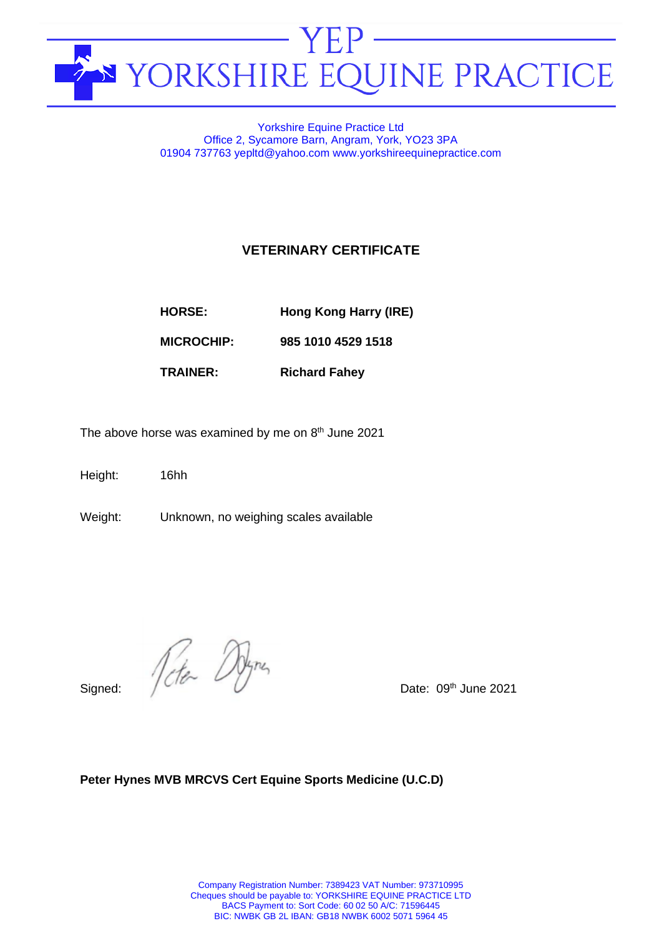

# Yorkshire Equine Practice Ltd Office 2, Sycamore Barn, Angram, York, YO23 3PA 01904 737763 yepltd@yahoo.com www.yorkshireequinepractice.com

# **VETERINARY CERTIFICATE**

| Hong Kong Harry (IRE)<br><b>HORSE:</b> |  |
|----------------------------------------|--|
|                                        |  |

**MICROCHIP: 985 1010 4529 1518**

**TRAINER: Richard Fahey**

The above horse was examined by me on  $8<sup>th</sup>$  June 2021

Height: 16hh

Weight: Unknown, no weighing scales available

 $Signed:$   $\sqrt{\frac{c}{c}}$   $\sqrt{\frac{b}{m}}$  Date: 09<sup>th</sup> June 2021

# **Peter Hynes MVB MRCVS Cert Equine Sports Medicine (U.C.D)**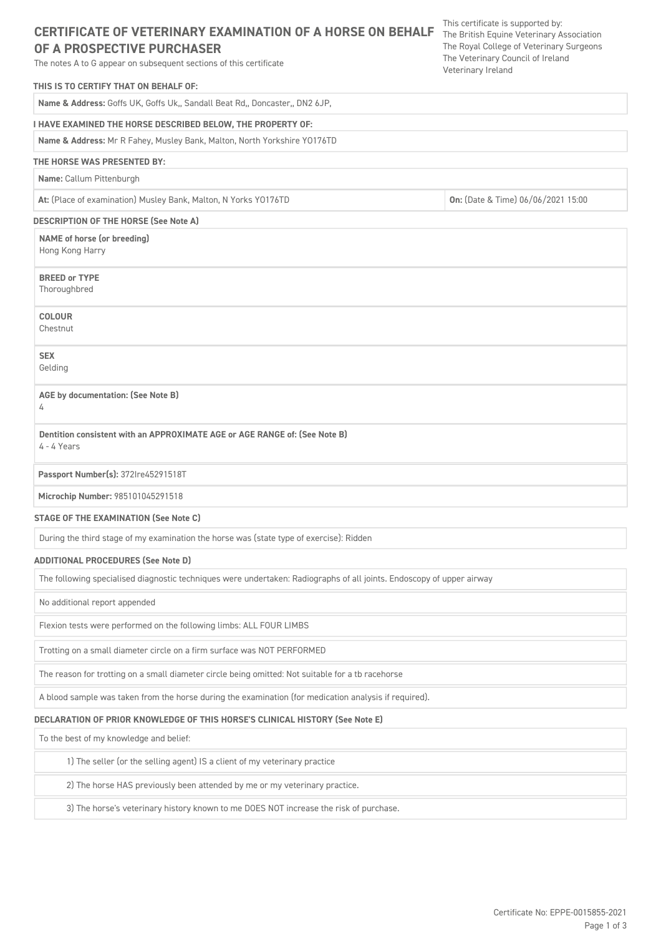# **CERTIFICATE OF VETERINARY EXAMINATION OF A HORSE ON BEHALF** The British Equine Veterinary Association

# **OF A PROSPECTIVE PURCHASER**

The notes A to G appear on subsequent sections of this certificate

# **THIS IS TO CERTIFY THAT ON BEHALF OF:**

**Name & Address:** Goffs UK, Goffs Uk,, Sandall Beat Rd,, Doncaster,, DN2 6JP,

# **I HAVE EXAMINED THE HORSE DESCRIBED BELOW, THE PROPERTY OF:**

**Name & Address:** Mr R Fahey, Musley Bank, Malton, North Yorkshire YO176TD

# **THE HORSE WAS PRESENTED BY:**

**Name:** Callum Pittenburgh

**At:** (Place of examination) Musley Bank, Malton, N Yorks YO176TD **On:** (Date & Time) 06/06/2021 15:00

# **DESCRIPTION OF THE HORSE (See Note A)**

**NAME of horse (or breeding)** Hong Kong Harry

**BREED or TYPE** Thoroughbred

**COLOUR** Chestnut

**SEX**

Gelding

## **AGE by documentation: (See Note B)**

4

**Dentition consistent with an APPROXIMATE AGE or AGE RANGE of: (See Note B)** 4 - 4 Years

## **Passport Number(s):** 372Ire45291518T

**Microchip Number:** 985101045291518

### **STAGE OF THE EXAMINATION (See Note C)**

During the third stage of my examination the horse was (state type of exercise): Ridden

### **ADDITIONAL PROCEDURES (See Note D)**

The following specialised diagnostic techniques were undertaken: Radiographs of all joints. Endoscopy of upper airway

No additional report appended

Flexion tests were performed on the following limbs: ALL FOUR LIMBS

Trotting on a small diameter circle on a firm surface was NOT PERFORMED

The reason for trotting on a small diameter circle being omitted: Not suitable for a tb racehorse

A blood sample was taken from the horse during the examination (for medication analysis if required).

### **DECLARATION OF PRIOR KNOWLEDGE OF THIS HORSE'S CLINICAL HISTORY (See Note E)**

To the best of my knowledge and belief:

1) The seller (or the selling agent) IS a client of my veterinary practice

2) The horse HAS previously been attended by me or my veterinary practice.

3) The horse's veterinary history known to me DOES NOT increase the risk of purchase.

This certificate is supported by: The Royal College of Veterinary Surgeons The Veterinary Council of Ireland Veterinary Ireland

> Certificate No: EPPE-0015855-2021 Page 1 of 3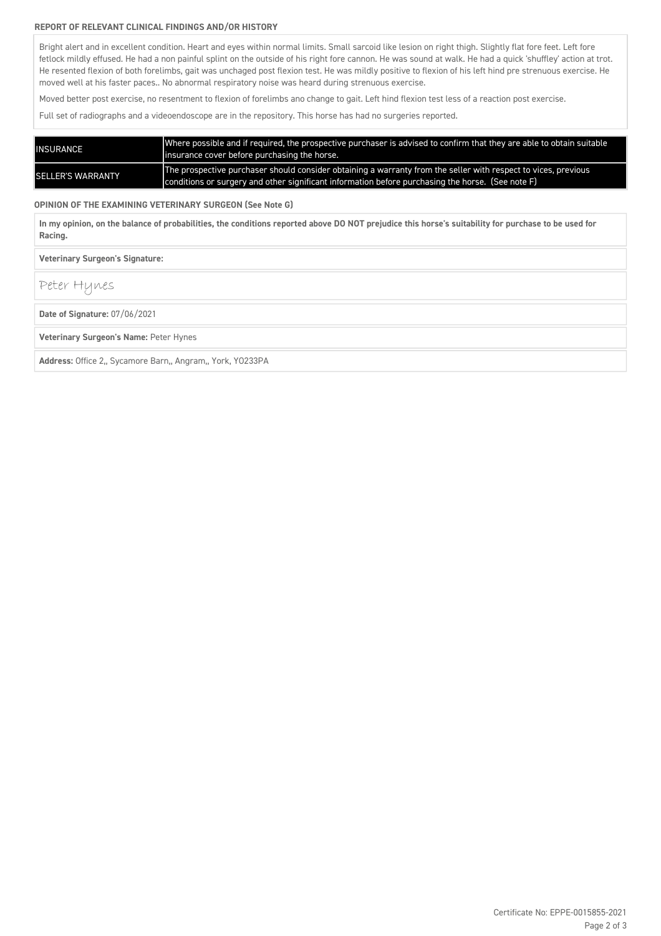### **REPORT OF RELEVANT CLINICAL FINDINGS AND/OR HISTORY**

Bright alert and in excellent condition. Heart and eyes within normal limits. Small sarcoid like lesion on right thigh. Slightly flat fore feet. Left fore fetlock mildly effused. He had a non painful splint on the outside of his right fore cannon. He was sound at walk. He had a quick 'shuffley' action at trot. He resented flexion of both forelimbs, gait was unchaged post flexion test. He was mildly positive to flexion of his left hind pre strenuous exercise. He moved well at his faster paces.. No abnormal respiratory noise was heard during strenuous exercise.

Moved better post exercise, no resentment to flexion of forelimbs ano change to gait. Left hind flexion test less of a reaction post exercise.

Full set of radiographs and a videoendoscope are in the repository. This horse has had no surgeries reported.

| INSURANCE                | Where possible and if required, the prospective purchaser is advised to confirm that they are able to obtain suitable<br>linsurance cover before purchasing the horse.                                                 |
|--------------------------|------------------------------------------------------------------------------------------------------------------------------------------------------------------------------------------------------------------------|
| <b>SELLER'S WARRANTY</b> | The prospective purchaser should consider obtaining a warranty from the seller with respect to vices, previous<br>conditions or surgery and other significant information before purchasing the horse. (See note $F$ ) |

**OPINION OF THE EXAMINING VETERINARY SURGEON (See Note G)**

**In my opinion, on the balance of probabilities, the conditions reported above DO NOT prejudice this horse's suitability for purchase to be used for Racing.**

**Veterinary Surgeon's Signature:** 

Peter Hynes

**Date of Signature:** 07/06/2021

**Veterinary Surgeon's Name:** Peter Hynes

**Address:** Office 2,, Sycamore Barn,, Angram,, York, YO233PA